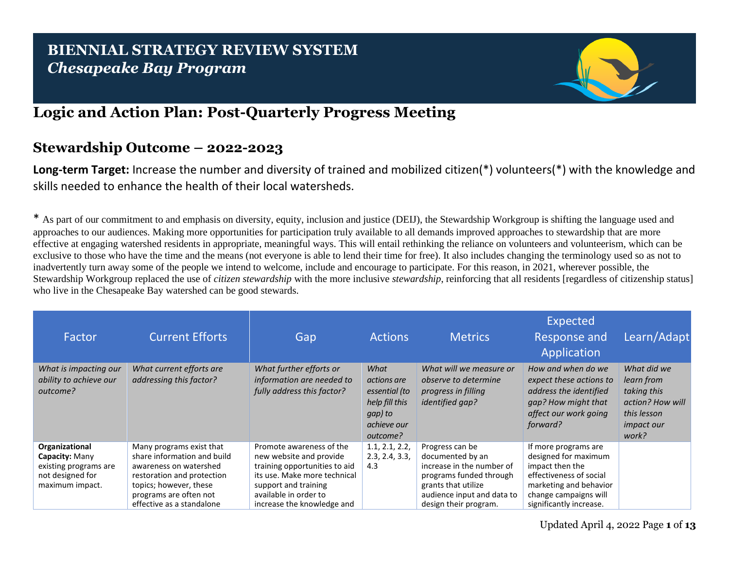## **BIENNIAL STRATEGY REVIEW SYSTEM** *Chesapeake Bay Program*



## **Logic and Action Plan: Post-Quarterly Progress Meeting**

## **Stewardship Outcome – 2022-2023**

**Long-term Target:** Increase the number and diversity of trained and mobilized citizen(\*) volunteers(\*) with the knowledge and skills needed to enhance the health of their local watersheds.

\* As part of our commitment to and emphasis on diversity, equity, inclusion and justice (DEIJ), the Stewardship Workgroup is shifting the language used and approaches to our audiences. Making more opportunities for participation truly available to all demands improved approaches to stewardship that are more effective at engaging watershed residents in appropriate, meaningful ways. This will entail rethinking the reliance on volunteers and volunteerism, which can be exclusive to those who have the time and the means (not everyone is able to lend their time for free). It also includes changing the terminology used so as not to inadvertently turn away some of the people we intend to welcome, include and encourage to participate. For this reason, in 2021, wherever possible, the [Stewardship Workgroup](https://www.chesapeakebay.net/who/group/citizen_stewardship_team) replaced the use of *citizen stewardship* with the more inclusive *stewardship*, reinforcing that all residents [regardless of citizenship status] who live in the Chesapeake Bay watershed can be good stewards.

| Factor                                                                                           | <b>Current Efforts</b>                                                                                                                                                                           | Gap                                                                                                                                                                                                 | <b>Actions</b>                                                                               | <b>Metrics</b>                                                                                                                                                            | Expected<br>Response and<br>Application                                                                                                                                  | Learn/Adapt                                                                                               |
|--------------------------------------------------------------------------------------------------|--------------------------------------------------------------------------------------------------------------------------------------------------------------------------------------------------|-----------------------------------------------------------------------------------------------------------------------------------------------------------------------------------------------------|----------------------------------------------------------------------------------------------|---------------------------------------------------------------------------------------------------------------------------------------------------------------------------|--------------------------------------------------------------------------------------------------------------------------------------------------------------------------|-----------------------------------------------------------------------------------------------------------|
| What is impacting our<br>ability to achieve our<br>outcome?                                      | What current efforts are<br>addressing this factor?                                                                                                                                              | What further efforts or<br>information are needed to<br>fully address this factor?                                                                                                                  | What<br>actions are<br>essential (to<br>help fill this<br>gap) to<br>achieve our<br>outcome? | What will we measure or<br>observe to determine<br>progress in filling<br><i>identified gap?</i>                                                                          | How and when do we<br>expect these actions to<br>address the identified<br>gap? How might that<br>affect our work going<br>forward?                                      | What did we<br>learn from<br>taking this<br>action? How will<br>this lesson<br><i>impact our</i><br>work? |
| Organizational<br>Capacity: Many<br>existing programs are<br>not designed for<br>maximum impact. | Many programs exist that<br>share information and build<br>awareness on watershed<br>restoration and protection<br>topics; however, these<br>programs are often not<br>effective as a standalone | Promote awareness of the<br>new website and provide<br>training opportunities to aid<br>its use. Make more technical<br>support and training<br>available in order to<br>increase the knowledge and | 1.1, 2.1, 2.2,<br>2.3, 2.4, 3.3,<br>4.3                                                      | Progress can be<br>documented by an<br>increase in the number of<br>programs funded through<br>grants that utilize<br>audience input and data to<br>design their program. | If more programs are<br>designed for maximum<br>impact then the<br>effectiveness of social<br>marketing and behavior<br>change campaigns will<br>significantly increase. |                                                                                                           |

Updated April 4, 2022 Page **1** of **13**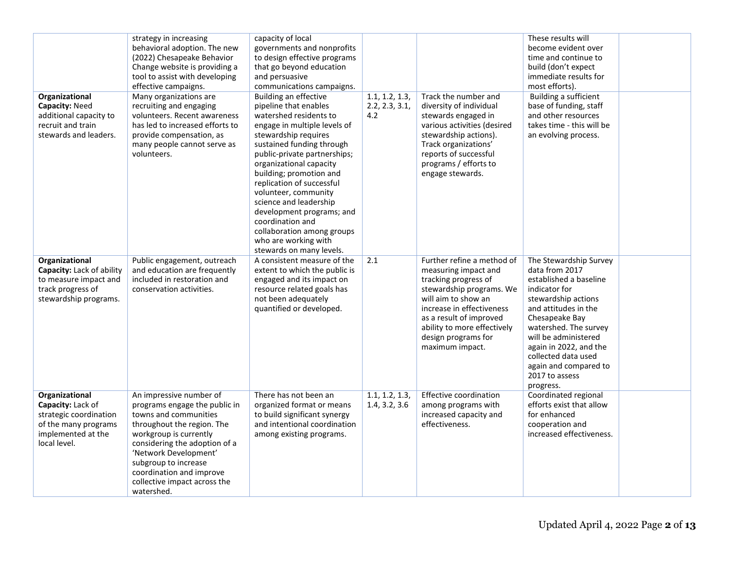| Organizational<br>Capacity: Need<br>additional capacity to<br>recruit and train<br>stewards and leaders.                    | strategy in increasing<br>behavioral adoption. The new<br>(2022) Chesapeake Behavior<br>Change website is providing a<br>tool to assist with developing<br>effective campaigns.<br>Many organizations are<br>recruiting and engaging<br>volunteers. Recent awareness<br>has led to increased efforts to<br>provide compensation, as<br>many people cannot serve as<br>volunteers. | capacity of local<br>governments and nonprofits<br>to design effective programs<br>that go beyond education<br>and persuasive<br>communications campaigns.<br>Building an effective<br>pipeline that enables<br>watershed residents to<br>engage in multiple levels of<br>stewardship requires<br>sustained funding through<br>public-private partnerships;<br>organizational capacity<br>building; promotion and<br>replication of successful<br>volunteer, community<br>science and leadership<br>development programs; and<br>coordination and<br>collaboration among groups<br>who are working with<br>stewards on many levels. | 1.1, 1.2, 1.3,<br>2.2, 2.3, 3.1,<br>4.2 | Track the number and<br>diversity of individual<br>stewards engaged in<br>various activities (desired<br>stewardship actions).<br>Track organizations'<br>reports of successful<br>programs / efforts to<br>engage stewards.                                   | These results will<br>become evident over<br>time and continue to<br>build (don't expect<br>immediate results for<br>most efforts).<br>Building a sufficient<br>base of funding, staff<br>and other resources<br>takes time - this will be<br>an evolving process.                                             |  |
|-----------------------------------------------------------------------------------------------------------------------------|-----------------------------------------------------------------------------------------------------------------------------------------------------------------------------------------------------------------------------------------------------------------------------------------------------------------------------------------------------------------------------------|-------------------------------------------------------------------------------------------------------------------------------------------------------------------------------------------------------------------------------------------------------------------------------------------------------------------------------------------------------------------------------------------------------------------------------------------------------------------------------------------------------------------------------------------------------------------------------------------------------------------------------------|-----------------------------------------|----------------------------------------------------------------------------------------------------------------------------------------------------------------------------------------------------------------------------------------------------------------|----------------------------------------------------------------------------------------------------------------------------------------------------------------------------------------------------------------------------------------------------------------------------------------------------------------|--|
| Organizational<br>Capacity: Lack of ability<br>to measure impact and<br>track progress of<br>stewardship programs.          | Public engagement, outreach<br>and education are frequently<br>included in restoration and<br>conservation activities.                                                                                                                                                                                                                                                            | A consistent measure of the<br>extent to which the public is<br>engaged and its impact on<br>resource related goals has<br>not been adequately<br>quantified or developed.                                                                                                                                                                                                                                                                                                                                                                                                                                                          | 2.1                                     | Further refine a method of<br>measuring impact and<br>tracking progress of<br>stewardship programs. We<br>will aim to show an<br>increase in effectiveness<br>as a result of improved<br>ability to more effectively<br>design programs for<br>maximum impact. | The Stewardship Survey<br>data from 2017<br>established a baseline<br>indicator for<br>stewardship actions<br>and attitudes in the<br>Chesapeake Bay<br>watershed. The survey<br>will be administered<br>again in 2022, and the<br>collected data used<br>again and compared to<br>2017 to assess<br>progress. |  |
| Organizational<br>Capacity: Lack of<br>strategic coordination<br>of the many programs<br>implemented at the<br>local level. | An impressive number of<br>programs engage the public in<br>towns and communities<br>throughout the region. The<br>workgroup is currently<br>considering the adoption of a<br>'Network Development'<br>subgroup to increase<br>coordination and improve<br>collective impact across the<br>watershed.                                                                             | There has not been an<br>organized format or means<br>to build significant synergy<br>and intentional coordination<br>among existing programs.                                                                                                                                                                                                                                                                                                                                                                                                                                                                                      | 1.1, 1.2, 1.3,<br>1.4, 3.2, 3.6         | <b>Effective coordination</b><br>among programs with<br>increased capacity and<br>effectiveness.                                                                                                                                                               | Coordinated regional<br>efforts exist that allow<br>for enhanced<br>cooperation and<br>increased effectiveness.                                                                                                                                                                                                |  |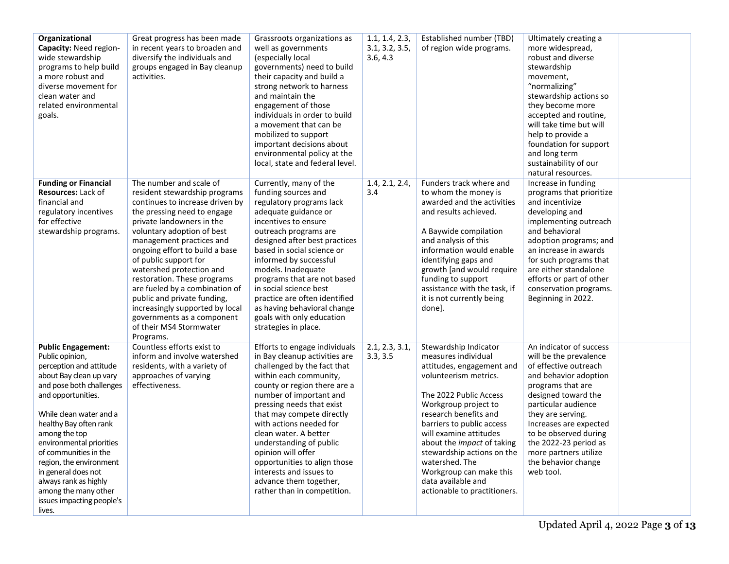| Organizational<br>Capacity: Need region-<br>wide stewardship<br>programs to help build<br>a more robust and<br>diverse movement for<br>clean water and<br>related environmental<br>goals.                                                                                                                                                                                                                                 | Great progress has been made<br>in recent years to broaden and<br>diversify the individuals and<br>groups engaged in Bay cleanup<br>activities.                                                                                                                                                                                                                                                                                                                                                                   | Grassroots organizations as<br>well as governments<br>(especially local<br>governments) need to build<br>their capacity and build a<br>strong network to harness<br>and maintain the<br>engagement of those<br>individuals in order to build<br>a movement that can be<br>mobilized to support<br>important decisions about<br>environmental policy at the<br>local, state and federal level.                                                                         | 1.1, 1.4, 2.3,<br>3.1, 3.2, 3.5,<br>3.6, 4.3 | Established number (TBD)<br>of region wide programs.                                                                                                                                                                                                                                                                                                                                                | Ultimately creating a<br>more widespread,<br>robust and diverse<br>stewardship<br>movement,<br>"normalizing"<br>stewardship actions so<br>they become more<br>accepted and routine,<br>will take time but will<br>help to provide a<br>foundation for support<br>and long term<br>sustainability of our<br>natural resources.        |  |
|---------------------------------------------------------------------------------------------------------------------------------------------------------------------------------------------------------------------------------------------------------------------------------------------------------------------------------------------------------------------------------------------------------------------------|-------------------------------------------------------------------------------------------------------------------------------------------------------------------------------------------------------------------------------------------------------------------------------------------------------------------------------------------------------------------------------------------------------------------------------------------------------------------------------------------------------------------|-----------------------------------------------------------------------------------------------------------------------------------------------------------------------------------------------------------------------------------------------------------------------------------------------------------------------------------------------------------------------------------------------------------------------------------------------------------------------|----------------------------------------------|-----------------------------------------------------------------------------------------------------------------------------------------------------------------------------------------------------------------------------------------------------------------------------------------------------------------------------------------------------------------------------------------------------|--------------------------------------------------------------------------------------------------------------------------------------------------------------------------------------------------------------------------------------------------------------------------------------------------------------------------------------|--|
| <b>Funding or Financial</b><br><b>Resources: Lack of</b><br>financial and<br>regulatory incentives<br>for effective<br>stewardship programs.                                                                                                                                                                                                                                                                              | The number and scale of<br>resident stewardship programs<br>continues to increase driven by<br>the pressing need to engage<br>private landowners in the<br>voluntary adoption of best<br>management practices and<br>ongoing effort to build a base<br>of public support for<br>watershed protection and<br>restoration. These programs<br>are fueled by a combination of<br>public and private funding,<br>increasingly supported by local<br>governments as a component<br>of their MS4 Stormwater<br>Programs. | Currently, many of the<br>funding sources and<br>regulatory programs lack<br>adequate guidance or<br>incentives to ensure<br>outreach programs are<br>designed after best practices<br>based in social science or<br>informed by successful<br>models. Inadequate<br>programs that are not based<br>in social science best<br>practice are often identified<br>as having behavioral change<br>goals with only education<br>strategies in place.                       | 1.4, 2.1, 2.4,<br>3.4                        | Funders track where and<br>to whom the money is<br>awarded and the activities<br>and results achieved.<br>A Baywide compilation<br>and analysis of this<br>information would enable<br>identifying gaps and<br>growth [and would require<br>funding to support<br>assistance with the task, if<br>it is not currently being<br>done].                                                               | Increase in funding<br>programs that prioritize<br>and incentivize<br>developing and<br>implementing outreach<br>and behavioral<br>adoption programs; and<br>an increase in awards<br>for such programs that<br>are either standalone<br>efforts or part of other<br>conservation programs.<br>Beginning in 2022.                    |  |
| <b>Public Engagement:</b><br>Public opinion,<br>perception and attitude<br>about Bay clean up vary<br>and pose both challenges<br>and opportunities.<br>While clean water and a<br>healthy Bay often rank<br>among the top<br>environmental priorities<br>of communities in the<br>region, the environment<br>in general does not<br>always rank as highly<br>among the many other<br>issues impacting people's<br>lives. | Countless efforts exist to<br>inform and involve watershed<br>residents, with a variety of<br>approaches of varying<br>effectiveness.                                                                                                                                                                                                                                                                                                                                                                             | Efforts to engage individuals<br>in Bay cleanup activities are<br>challenged by the fact that<br>within each community,<br>county or region there are a<br>number of important and<br>pressing needs that exist<br>that may compete directly<br>with actions needed for<br>clean water. A better<br>understanding of public<br>opinion will offer<br>opportunities to align those<br>interests and issues to<br>advance them together,<br>rather than in competition. | 2.1, 2.3, 3.1,<br>3.3, 3.5                   | Stewardship Indicator<br>measures individual<br>attitudes, engagement and<br>volunteerism metrics.<br>The 2022 Public Access<br>Workgroup project to<br>research benefits and<br>barriers to public access<br>will examine attitudes<br>about the impact of taking<br>stewardship actions on the<br>watershed. The<br>Workgroup can make this<br>data available and<br>actionable to practitioners. | An indicator of success<br>will be the prevalence<br>of effective outreach<br>and behavior adoption<br>programs that are<br>designed toward the<br>particular audience<br>they are serving.<br>Increases are expected<br>to be observed during<br>the 2022-23 period as<br>more partners utilize<br>the behavior change<br>web tool. |  |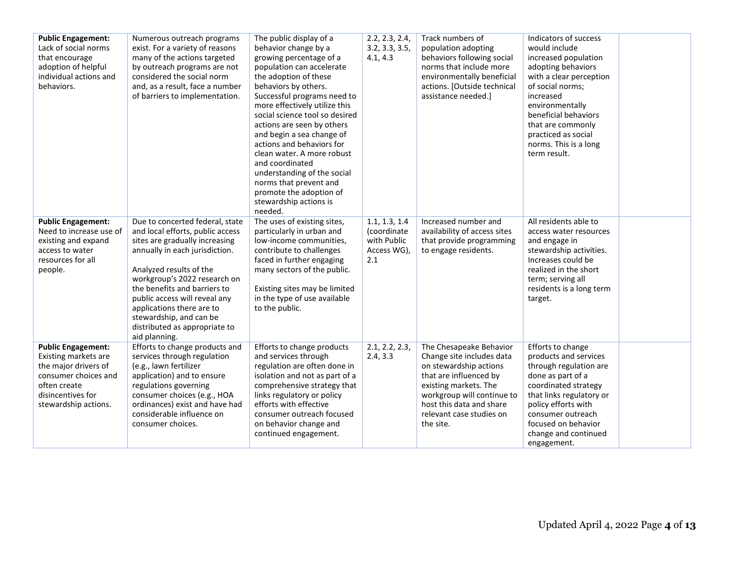| <b>Public Engagement:</b> | Numerous outreach programs       | The public display of a        | 2.2, 2.3, 2.4,      | Track numbers of             | Indicators of success    |  |
|---------------------------|----------------------------------|--------------------------------|---------------------|------------------------------|--------------------------|--|
| Lack of social norms      | exist. For a variety of reasons  | behavior change by a           | 3.2, 3.3, 3.5,      | population adopting          | would include            |  |
| that encourage            | many of the actions targeted     | growing percentage of a        | 4.1, 4.3            | behaviors following social   | increased population     |  |
| adoption of helpful       | by outreach programs are not     | population can accelerate      |                     | norms that include more      | adopting behaviors       |  |
| individual actions and    | considered the social norm       | the adoption of these          |                     | environmentally beneficial   | with a clear perception  |  |
| behaviors.                | and, as a result, face a number  | behaviors by others.           |                     | actions. [Outside technical  | of social norms;         |  |
|                           | of barriers to implementation.   | Successful programs need to    |                     | assistance needed.]          | increased                |  |
|                           |                                  | more effectively utilize this  |                     |                              | environmentally          |  |
|                           |                                  | social science tool so desired |                     |                              | beneficial behaviors     |  |
|                           |                                  | actions are seen by others     |                     |                              | that are commonly        |  |
|                           |                                  | and begin a sea change of      |                     |                              | practiced as social      |  |
|                           |                                  | actions and behaviors for      |                     |                              | norms. This is a long    |  |
|                           |                                  | clean water. A more robust     |                     |                              | term result.             |  |
|                           |                                  | and coordinated                |                     |                              |                          |  |
|                           |                                  | understanding of the social    |                     |                              |                          |  |
|                           |                                  | norms that prevent and         |                     |                              |                          |  |
|                           |                                  | promote the adoption of        |                     |                              |                          |  |
|                           |                                  | stewardship actions is         |                     |                              |                          |  |
|                           |                                  | needed.                        |                     |                              |                          |  |
| <b>Public Engagement:</b> | Due to concerted federal, state  | The uses of existing sites,    | 1.1, 1.3, 1.4       | Increased number and         | All residents able to    |  |
| Need to increase use of   | and local efforts, public access | particularly in urban and      | <i>(coordinate)</i> | availability of access sites | access water resources   |  |
| existing and expand       | sites are gradually increasing   | low-income communities,        | with Public         | that provide programming     | and engage in            |  |
| access to water           | annually in each jurisdiction.   | contribute to challenges       | Access WG),         | to engage residents.         | stewardship activities.  |  |
| resources for all         |                                  | faced in further engaging      | 2.1                 |                              | Increases could be       |  |
| people.                   | Analyzed results of the          | many sectors of the public.    |                     |                              | realized in the short    |  |
|                           | workgroup's 2022 research on     |                                |                     |                              | term; serving all        |  |
|                           | the benefits and barriers to     | Existing sites may be limited  |                     |                              | residents is a long term |  |
|                           | public access will reveal any    | in the type of use available   |                     |                              | target.                  |  |
|                           | applications there are to        | to the public.                 |                     |                              |                          |  |
|                           | stewardship, and can be          |                                |                     |                              |                          |  |
|                           | distributed as appropriate to    |                                |                     |                              |                          |  |
|                           | aid planning.                    |                                |                     |                              |                          |  |
| <b>Public Engagement:</b> | Efforts to change products and   | Efforts to change products     | 2.1, 2.2, 2.3       | The Chesapeake Behavior      | Efforts to change        |  |
| Existing markets are      | services through regulation      | and services through           | 2.4, 3.3            | Change site includes data    | products and services    |  |
| the major drivers of      | (e.g., lawn fertilizer           | regulation are often done in   |                     | on stewardship actions       | through regulation are   |  |
| consumer choices and      | application) and to ensure       | isolation and not as part of a |                     | that are influenced by       | done as part of a        |  |
| often create              | regulations governing            | comprehensive strategy that    |                     | existing markets. The        | coordinated strategy     |  |
| disincentives for         | consumer choices (e.g., HOA      | links regulatory or policy     |                     | workgroup will continue to   | that links regulatory or |  |
| stewardship actions.      | ordinances) exist and have had   | efforts with effective         |                     | host this data and share     | policy efforts with      |  |
|                           | considerable influence on        | consumer outreach focused      |                     | relevant case studies on     | consumer outreach        |  |
|                           | consumer choices.                | on behavior change and         |                     | the site.                    | focused on behavior      |  |
|                           |                                  | continued engagement.          |                     |                              | change and continued     |  |
|                           |                                  |                                |                     |                              | engagement.              |  |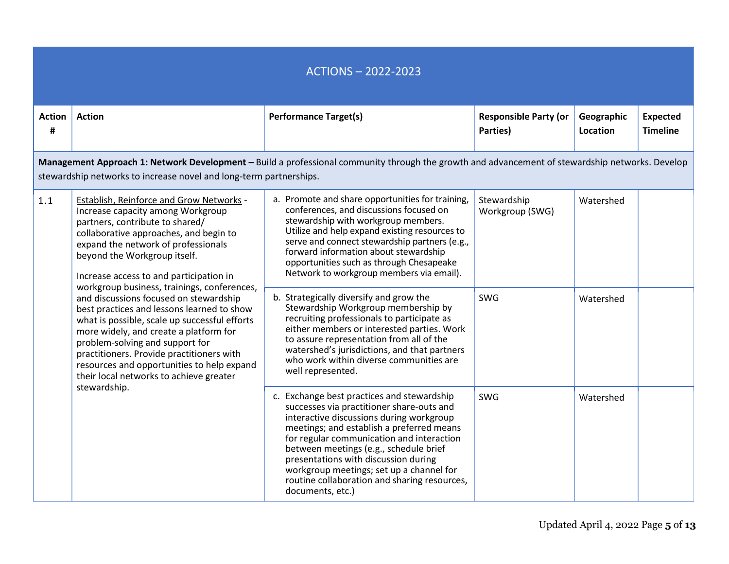## ACTIONS – 2022-2023 **Action # Action Performance Target(s) Performance Target(s) Responsible Party (or Responsible Party (or Parties) Geographic Location Expected Timeline Management Approach 1: Network Development –** Build a professional community through the growth and advancement of stewardship networks. Develop stewardship networks to increase novel and long-term partnerships. 1.1 Establish, Reinforce and Grow Networks -Increase capacity among Workgroup partners, contribute to shared/ collaborative approaches, and begin to expand the network of professionals beyond the Workgroup itself. Increase access to and participation in workgroup business, trainings, conferences, and discussions focused on stewardship best practices and lessons learned to show what is possible, scale up successful efforts more widely, and create a platform for problem-solving and support for practitioners. Provide practitioners with resources and opportunities to help expand their local networks to achieve greater stewardship. a. Promote and share opportunities for training, conferences, and discussions focused on stewardship with workgroup members. Utilize and help expand existing resources to serve and connect stewardship partners (e.g., forward information about stewardship opportunities such as through Chesapeake Network to workgroup members via email). **Stewardship** Workgroup (SWG) Watershed b. Strategically diversify and grow the Stewardship Workgroup membership by recruiting professionals to participate as either members or interested parties. Work to assure representation from all of the watershed's jurisdictions, and that partners who work within diverse communities are well represented. SWG Watershed c. Exchange best practices and stewardship successes via practitioner share-outs and interactive discussions during workgroup meetings; and establish a preferred means for regular communication and interaction between meetings (e.g., schedule brief presentations with discussion during workgroup meetings; set up a channel for routine collaboration and sharing resources, documents, etc.) SWG Watershed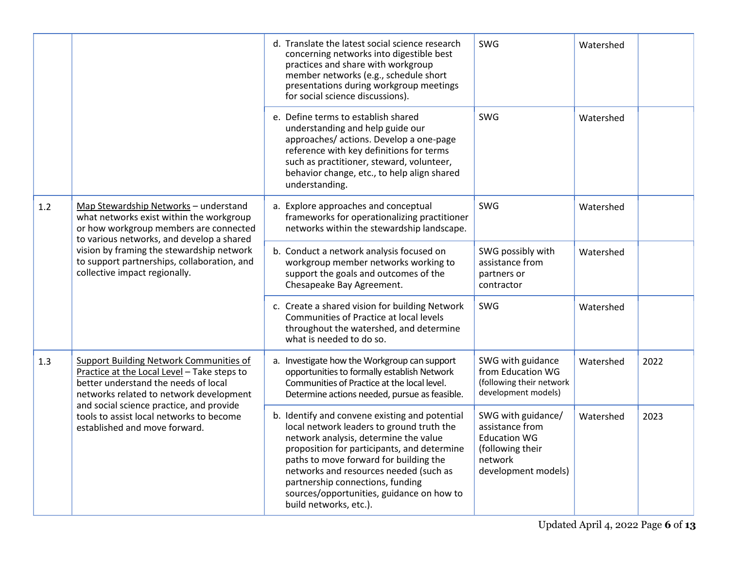|     |                                                                                                                                                                                                                                                                                                       | d. Translate the latest social science research<br>concerning networks into digestible best<br>practices and share with workgroup<br>member networks (e.g., schedule short<br>presentations during workgroup meetings<br>for social science discussions).                                                                                                                          | SWG                                                                                                                | Watershed |      |
|-----|-------------------------------------------------------------------------------------------------------------------------------------------------------------------------------------------------------------------------------------------------------------------------------------------------------|------------------------------------------------------------------------------------------------------------------------------------------------------------------------------------------------------------------------------------------------------------------------------------------------------------------------------------------------------------------------------------|--------------------------------------------------------------------------------------------------------------------|-----------|------|
|     |                                                                                                                                                                                                                                                                                                       | e. Define terms to establish shared<br>understanding and help guide our<br>approaches/ actions. Develop a one-page<br>reference with key definitions for terms<br>such as practitioner, steward, volunteer,<br>behavior change, etc., to help align shared<br>understanding.                                                                                                       | SWG                                                                                                                | Watershed |      |
| 1.2 | Map Stewardship Networks - understand<br>what networks exist within the workgroup<br>or how workgroup members are connected<br>to various networks, and develop a shared<br>vision by framing the stewardship network<br>to support partnerships, collaboration, and<br>collective impact regionally. | a. Explore approaches and conceptual<br>frameworks for operationalizing practitioner<br>networks within the stewardship landscape.                                                                                                                                                                                                                                                 | SWG                                                                                                                | Watershed |      |
|     |                                                                                                                                                                                                                                                                                                       | b. Conduct a network analysis focused on<br>workgroup member networks working to<br>support the goals and outcomes of the<br>Chesapeake Bay Agreement.                                                                                                                                                                                                                             | SWG possibly with<br>assistance from<br>partners or<br>contractor                                                  | Watershed |      |
|     |                                                                                                                                                                                                                                                                                                       | c. Create a shared vision for building Network<br>Communities of Practice at local levels<br>throughout the watershed, and determine<br>what is needed to do so.                                                                                                                                                                                                                   | SWG                                                                                                                | Watershed |      |
| 1.3 | <b>Support Building Network Communities of</b><br>Practice at the Local Level - Take steps to<br>better understand the needs of local<br>networks related to network development                                                                                                                      | a. Investigate how the Workgroup can support<br>opportunities to formally establish Network<br>Communities of Practice at the local level.<br>Determine actions needed, pursue as feasible.                                                                                                                                                                                        | SWG with guidance<br>from Education WG<br>(following their network<br>development models)                          | Watershed | 2022 |
|     | and social science practice, and provide<br>tools to assist local networks to become<br>established and move forward.                                                                                                                                                                                 | b. Identify and convene existing and potential<br>local network leaders to ground truth the<br>network analysis, determine the value<br>proposition for participants, and determine<br>paths to move forward for building the<br>networks and resources needed (such as<br>partnership connections, funding<br>sources/opportunities, guidance on how to<br>build networks, etc.). | SWG with guidance/<br>assistance from<br><b>Education WG</b><br>(following their<br>network<br>development models) | Watershed | 2023 |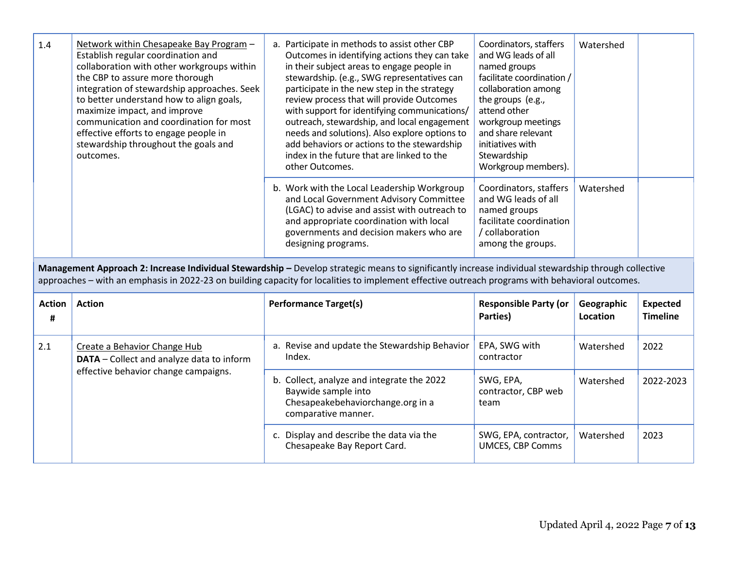| 1.4 | Network within Chesapeake Bay Program -<br>Establish regular coordination and<br>collaboration with other workgroups within<br>the CBP to assure more thorough<br>integration of stewardship approaches. Seek<br>to better understand how to align goals,<br>maximize impact, and improve<br>communication and coordination for most<br>effective efforts to engage people in<br>stewardship throughout the goals and<br>outcomes. | a. Participate in methods to assist other CBP<br>Outcomes in identifying actions they can take<br>in their subject areas to engage people in<br>stewardship. (e.g., SWG representatives can<br>participate in the new step in the strategy<br>review process that will provide Outcomes<br>with support for identifying communications/<br>outreach, stewardship, and local engagement<br>needs and solutions). Also explore options to<br>add behaviors or actions to the stewardship<br>index in the future that are linked to the<br>other Outcomes. | Coordinators, staffers<br>and WG leads of all<br>named groups<br>facilitate coordination /<br>collaboration among<br>the groups (e.g.,<br>attend other<br>workgroup meetings<br>and share relevant<br>initiatives with<br>Stewardship<br>Workgroup members). | Watershed |  |
|-----|------------------------------------------------------------------------------------------------------------------------------------------------------------------------------------------------------------------------------------------------------------------------------------------------------------------------------------------------------------------------------------------------------------------------------------|---------------------------------------------------------------------------------------------------------------------------------------------------------------------------------------------------------------------------------------------------------------------------------------------------------------------------------------------------------------------------------------------------------------------------------------------------------------------------------------------------------------------------------------------------------|--------------------------------------------------------------------------------------------------------------------------------------------------------------------------------------------------------------------------------------------------------------|-----------|--|
|     |                                                                                                                                                                                                                                                                                                                                                                                                                                    | b. Work with the Local Leadership Workgroup<br>and Local Government Advisory Committee<br>(LGAC) to advise and assist with outreach to<br>and appropriate coordination with local<br>governments and decision makers who are<br>designing programs.                                                                                                                                                                                                                                                                                                     | Coordinators, staffers<br>and WG leads of all<br>named groups<br>facilitate coordination<br>/ collaboration<br>among the groups.                                                                                                                             | Watershed |  |

**Management Approach 2: Increase Individual Stewardship -** Develop strategic means to significantly increase individual stewardship through collective approaches – with an emphasis in 2022-23 on building capacity for localities to implement effective outreach programs with behavioral outcomes.

| <b>Action</b><br># | <b>Action</b>                                                                                                     | <b>Performance Target(s)</b>                                                                                                  | <b>Responsible Party (or</b><br>Parties)         | Geographic<br>Location | Expected<br><b>Timeline</b> |
|--------------------|-------------------------------------------------------------------------------------------------------------------|-------------------------------------------------------------------------------------------------------------------------------|--------------------------------------------------|------------------------|-----------------------------|
| 2.1                | Create a Behavior Change Hub<br>DATA - Collect and analyze data to inform<br>effective behavior change campaigns. | a. Revise and update the Stewardship Behavior<br>Index.                                                                       | EPA, SWG with<br>contractor                      | Watershed              | 2022                        |
|                    |                                                                                                                   | b. Collect, analyze and integrate the 2022<br>Baywide sample into<br>Chesapeakebehaviorchange.org in a<br>comparative manner. | SWG, EPA,<br>contractor, CBP web<br>team         | Watershed              | 2022-2023                   |
|                    |                                                                                                                   | c. Display and describe the data via the<br>Chesapeake Bay Report Card.                                                       | SWG, EPA, contractor,<br><b>UMCES, CBP Comms</b> | Watershed              | 2023                        |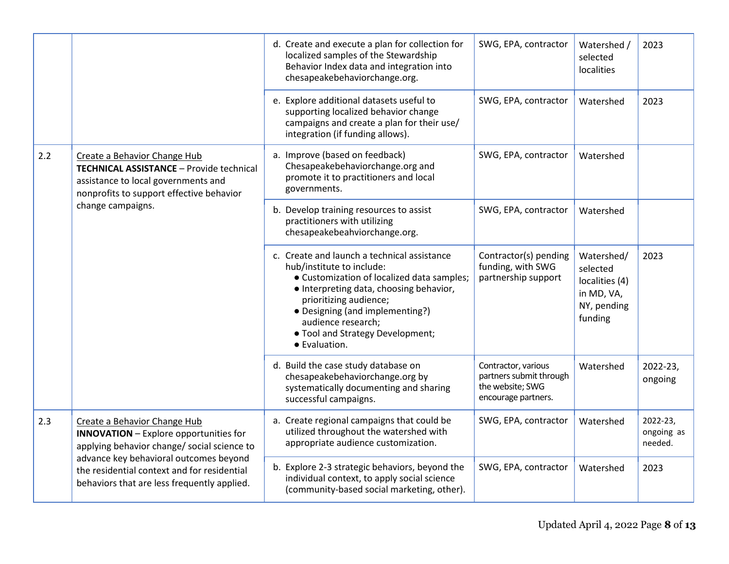|     |                                                                                                                                                                                  | d. Create and execute a plan for collection for<br>localized samples of the Stewardship<br>Behavior Index data and integration into<br>chesapeakebehaviorchange.org.                                                                                                                                      | SWG, EPA, contractor                                                                      | Watershed /<br>selected<br>localities                                            | 2023                              |
|-----|----------------------------------------------------------------------------------------------------------------------------------------------------------------------------------|-----------------------------------------------------------------------------------------------------------------------------------------------------------------------------------------------------------------------------------------------------------------------------------------------------------|-------------------------------------------------------------------------------------------|----------------------------------------------------------------------------------|-----------------------------------|
|     |                                                                                                                                                                                  | e. Explore additional datasets useful to<br>supporting localized behavior change<br>campaigns and create a plan for their use/<br>integration (if funding allows).                                                                                                                                        | SWG, EPA, contractor                                                                      | Watershed                                                                        | 2023                              |
| 2.2 | Create a Behavior Change Hub<br>TECHNICAL ASSISTANCE - Provide technical<br>assistance to local governments and<br>nonprofits to support effective behavior<br>change campaigns. | a. Improve (based on feedback)<br>Chesapeakebehaviorchange.org and<br>promote it to practitioners and local<br>governments.                                                                                                                                                                               | SWG, EPA, contractor                                                                      | Watershed                                                                        |                                   |
|     |                                                                                                                                                                                  | b. Develop training resources to assist<br>practitioners with utilizing<br>chesapeakebeahviorchange.org.                                                                                                                                                                                                  | SWG, EPA, contractor                                                                      | Watershed                                                                        |                                   |
|     |                                                                                                                                                                                  | c. Create and launch a technical assistance<br>hub/institute to include:<br>• Customization of localized data samples;<br>· Interpreting data, choosing behavior,<br>prioritizing audience;<br>• Designing (and implementing?)<br>audience research;<br>• Tool and Strategy Development;<br>• Evaluation. | Contractor(s) pending<br>funding, with SWG<br>partnership support                         | Watershed/<br>selected<br>localities (4)<br>in MD, VA,<br>NY, pending<br>funding | 2023                              |
|     |                                                                                                                                                                                  | d. Build the case study database on<br>chesapeakebehaviorchange.org by<br>systematically documenting and sharing<br>successful campaigns.                                                                                                                                                                 | Contractor, various<br>partners submit through<br>the website; SWG<br>encourage partners. | Watershed                                                                        | 2022-23,<br>ongoing               |
| 2.3 | Create a Behavior Change Hub<br><b>INNOVATION</b> - Explore opportunities for<br>applying behavior change/ social science to                                                     | a. Create regional campaigns that could be<br>utilized throughout the watershed with<br>appropriate audience customization.                                                                                                                                                                               | SWG, EPA, contractor                                                                      | Watershed                                                                        | 2022-23,<br>ongoing as<br>needed. |
|     | advance key behavioral outcomes beyond<br>the residential context and for residential<br>behaviors that are less frequently applied.                                             | b. Explore 2-3 strategic behaviors, beyond the<br>individual context, to apply social science<br>(community-based social marketing, other).                                                                                                                                                               | SWG, EPA, contractor                                                                      | Watershed                                                                        | 2023                              |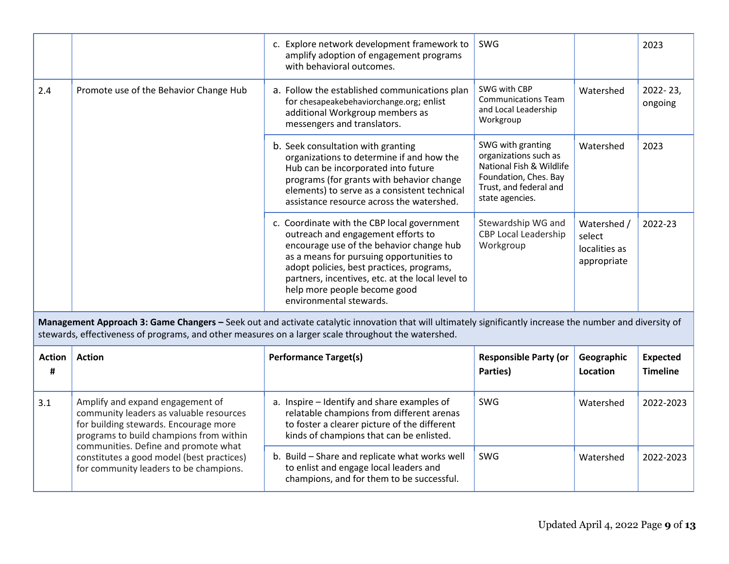|     |                                        | c. Explore network development framework to<br>amplify adoption of engagement programs<br>with behavioral outcomes.                                                                                                                                                                                                                   | SWG                                                                                                                                          |                                                       | 2023                |
|-----|----------------------------------------|---------------------------------------------------------------------------------------------------------------------------------------------------------------------------------------------------------------------------------------------------------------------------------------------------------------------------------------|----------------------------------------------------------------------------------------------------------------------------------------------|-------------------------------------------------------|---------------------|
| 2.4 | Promote use of the Behavior Change Hub | a. Follow the established communications plan<br>for chesapeakebehaviorchange.org; enlist<br>additional Workgroup members as<br>messengers and translators.                                                                                                                                                                           | SWG with CBP<br><b>Communications Team</b><br>and Local Leadership<br>Workgroup                                                              | Watershed                                             | 2022-23,<br>ongoing |
|     |                                        | b. Seek consultation with granting<br>organizations to determine if and how the<br>Hub can be incorporated into future<br>programs (for grants with behavior change<br>elements) to serve as a consistent technical<br>assistance resource across the watershed.                                                                      | SWG with granting<br>organizations such as<br>National Fish & Wildlife<br>Foundation, Ches. Bay<br>Trust, and federal and<br>state agencies. | Watershed                                             | 2023                |
|     |                                        | c. Coordinate with the CBP local government<br>outreach and engagement efforts to<br>encourage use of the behavior change hub<br>as a means for pursuing opportunities to<br>adopt policies, best practices, programs,<br>partners, incentives, etc. at the local level to<br>help more people become good<br>environmental stewards. | Stewardship WG and<br>CBP Local Leadership<br>Workgroup                                                                                      | Watershed /<br>select<br>localities as<br>appropriate | 2022-23             |

**Management Approach 3: Game Changers –** Seek out and activate catalytic innovation that will ultimately significantly increase the number and diversity of stewards, effectiveness of programs, and other measures on a larger scale throughout the watershed.

| <b>Action</b><br># | <b>Action</b>                                                                                                                                                   | <b>Performance Target(s)</b>                                                                                                                                                         | <b>Responsible Party (or</b><br>Parties) | Geographic<br>Location | <b>Expected</b><br><b>Timeline</b> |
|--------------------|-----------------------------------------------------------------------------------------------------------------------------------------------------------------|--------------------------------------------------------------------------------------------------------------------------------------------------------------------------------------|------------------------------------------|------------------------|------------------------------------|
| 3.1                | Amplify and expand engagement of<br>community leaders as valuable resources<br>for building stewards. Encourage more<br>programs to build champions from within | a. Inspire - Identify and share examples of<br>relatable champions from different arenas<br>to foster a clearer picture of the different<br>kinds of champions that can be enlisted. | <b>SWG</b>                               | Watershed              | 2022-2023                          |
|                    | communities. Define and promote what<br>constitutes a good model (best practices)<br>for community leaders to be champions.                                     | Build – Share and replicate what works well<br>b.<br>to enlist and engage local leaders and<br>champions, and for them to be successful.                                             | <b>SWG</b>                               | Watershed              | 2022-2023                          |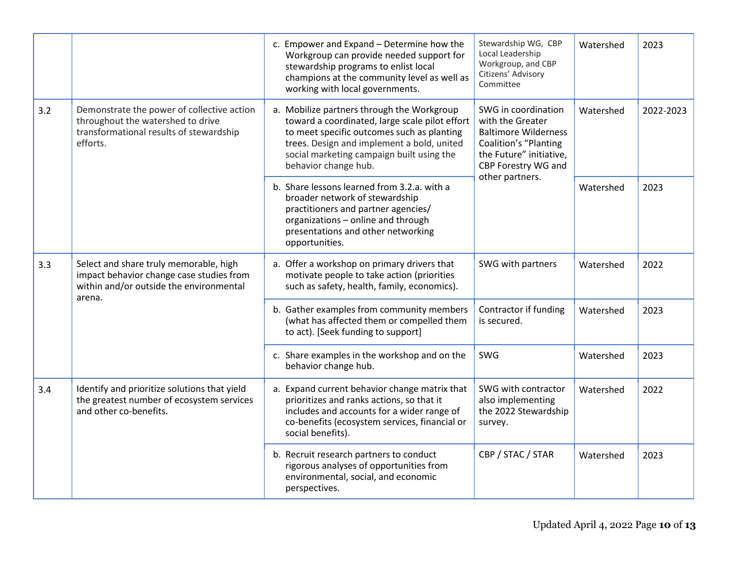|     |                                                                                                                                        | c. Empower and Expand - Determine how the<br>Workgroup can provide needed support for<br>stewardship programs to enlist local<br>champions at the community level as well as<br>working with local governments.                                               | Stewardship WG, CBP<br>Local Leadership<br>Workgroup, and CBP<br>Citizens' Advisory<br>Committee                                                                     | Watershed | 2023      |
|-----|----------------------------------------------------------------------------------------------------------------------------------------|---------------------------------------------------------------------------------------------------------------------------------------------------------------------------------------------------------------------------------------------------------------|----------------------------------------------------------------------------------------------------------------------------------------------------------------------|-----------|-----------|
| 3.2 | Demonstrate the power of collective action<br>throughout the watershed to drive<br>transformational results of stewardship<br>efforts. | a. Mobilize partners through the Workgroup<br>toward a coordinated, large scale pilot effort<br>to meet specific outcomes such as planting<br>trees. Design and implement a bold, united<br>social marketing campaign built using the<br>behavior change hub. | SWG in coordination<br>with the Greater<br><b>Baltimore Wilderness</b><br>Coalition's "Planting<br>the Future" initiative,<br>CBP Forestry WG and<br>other partners. | Watershed | 2022-2023 |
|     |                                                                                                                                        | b. Share lessons learned from 3.2.a. with a<br>broader network of stewardship<br>practitioners and partner agencies/<br>organizations - online and through<br>presentations and other networking<br>opportunities.                                            |                                                                                                                                                                      | Watershed | 2023      |
| 3.3 | Select and share truly memorable, high<br>impact behavior change case studies from<br>within and/or outside the environmental          | a. Offer a workshop on primary drivers that<br>motivate people to take action (priorities<br>such as safety, health, family, economics).                                                                                                                      | SWG with partners                                                                                                                                                    | Watershed | 2022      |
|     | arena.                                                                                                                                 | b. Gather examples from community members<br>(what has affected them or compelled them<br>to act). [Seek funding to support]                                                                                                                                  | Contractor if funding<br>is secured.                                                                                                                                 | Watershed | 2023      |
|     |                                                                                                                                        | c. Share examples in the workshop and on the<br>behavior change hub.                                                                                                                                                                                          | <b>SWG</b>                                                                                                                                                           | Watershed | 2023      |
| 3.4 | Identify and prioritize solutions that yield<br>the greatest number of ecosystem services<br>and other co-benefits.                    | a. Expand current behavior change matrix that<br>prioritizes and ranks actions, so that it<br>includes and accounts for a wider range of<br>co-benefits (ecosystem services, financial or<br>social benefits).                                                | SWG with contractor<br>also implementing<br>the 2022 Stewardship<br>survey.                                                                                          | Watershed | 2022      |
|     |                                                                                                                                        | b. Recruit research partners to conduct<br>rigorous analyses of opportunities from<br>environmental, social, and economic<br>perspectives.                                                                                                                    | CBP / STAC / STAR                                                                                                                                                    | Watershed | 2023      |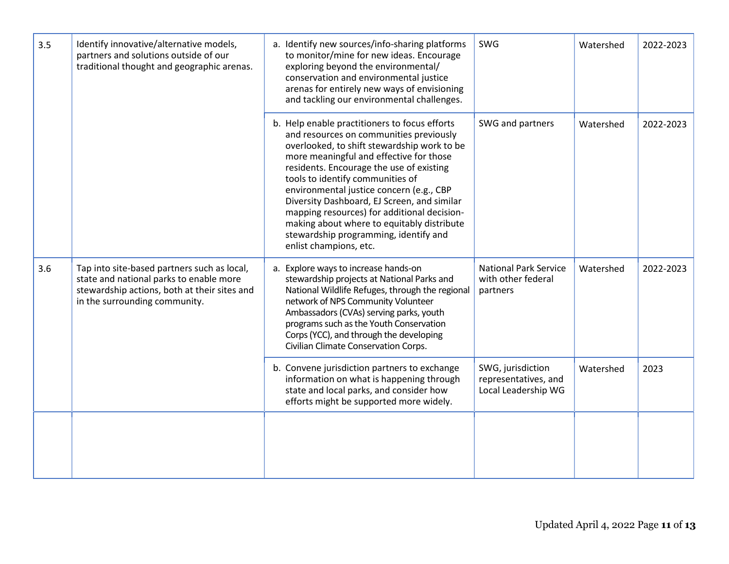| 3.5 | Identify innovative/alternative models,<br>partners and solutions outside of our<br>traditional thought and geographic arenas.                                          | a. Identify new sources/info-sharing platforms<br>to monitor/mine for new ideas. Encourage<br>exploring beyond the environmental/<br>conservation and environmental justice<br>arenas for entirely new ways of envisioning<br>and tackling our environmental challenges.                                                                                                                                                                                                                                                      | SWG                                                              | Watershed | 2022-2023 |
|-----|-------------------------------------------------------------------------------------------------------------------------------------------------------------------------|-------------------------------------------------------------------------------------------------------------------------------------------------------------------------------------------------------------------------------------------------------------------------------------------------------------------------------------------------------------------------------------------------------------------------------------------------------------------------------------------------------------------------------|------------------------------------------------------------------|-----------|-----------|
|     |                                                                                                                                                                         | b. Help enable practitioners to focus efforts<br>and resources on communities previously<br>overlooked, to shift stewardship work to be<br>more meaningful and effective for those<br>residents. Encourage the use of existing<br>tools to identify communities of<br>environmental justice concern (e.g., CBP<br>Diversity Dashboard, EJ Screen, and similar<br>mapping resources) for additional decision-<br>making about where to equitably distribute<br>stewardship programming, identify and<br>enlist champions, etc. | SWG and partners                                                 | Watershed | 2022-2023 |
| 3.6 | Tap into site-based partners such as local,<br>state and national parks to enable more<br>stewardship actions, both at their sites and<br>in the surrounding community. | Explore ways to increase hands-on<br>a.<br>stewardship projects at National Parks and<br>National Wildlife Refuges, through the regional<br>network of NPS Community Volunteer<br>Ambassadors (CVAs) serving parks, youth<br>programs such as the Youth Conservation<br>Corps (YCC), and through the developing<br>Civilian Climate Conservation Corps.                                                                                                                                                                       | <b>National Park Service</b><br>with other federal<br>partners   | Watershed | 2022-2023 |
|     |                                                                                                                                                                         | b. Convene jurisdiction partners to exchange<br>information on what is happening through<br>state and local parks, and consider how<br>efforts might be supported more widely.                                                                                                                                                                                                                                                                                                                                                | SWG, jurisdiction<br>representatives, and<br>Local Leadership WG | Watershed | 2023      |
|     |                                                                                                                                                                         |                                                                                                                                                                                                                                                                                                                                                                                                                                                                                                                               |                                                                  |           |           |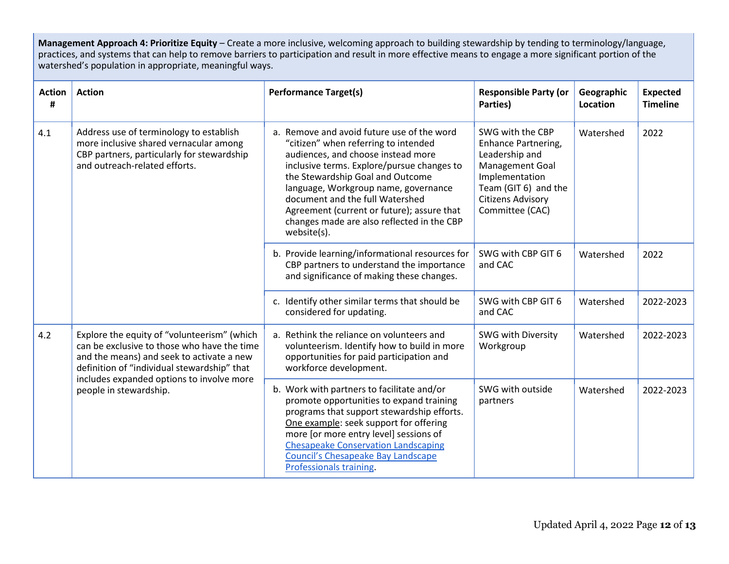**Management Approach 4: Prioritize Equity** – Create a more inclusive, welcoming approach to building stewardship by tending to terminology/language, practices, and systems that can help to remove barriers to participation and result in more effective means to engage a more significant portion of the watershed's population in appropriate, meaningful ways.

| <b>Action</b><br># | <b>Action</b>                                                                                                                                                                                                                                                 | <b>Performance Target(s)</b>                                                                                                                                                                                                                                                                                                                                                                     | <b>Responsible Party (or</b><br>Parties)                                                                                                                              | Geographic<br>Location | <b>Expected</b><br><b>Timeline</b> |
|--------------------|---------------------------------------------------------------------------------------------------------------------------------------------------------------------------------------------------------------------------------------------------------------|--------------------------------------------------------------------------------------------------------------------------------------------------------------------------------------------------------------------------------------------------------------------------------------------------------------------------------------------------------------------------------------------------|-----------------------------------------------------------------------------------------------------------------------------------------------------------------------|------------------------|------------------------------------|
| 4.1                | Address use of terminology to establish<br>more inclusive shared vernacular among<br>CBP partners, particularly for stewardship<br>and outreach-related efforts.                                                                                              | a. Remove and avoid future use of the word<br>"citizen" when referring to intended<br>audiences, and choose instead more<br>inclusive terms. Explore/pursue changes to<br>the Stewardship Goal and Outcome<br>language, Workgroup name, governance<br>document and the full Watershed<br>Agreement (current or future); assure that<br>changes made are also reflected in the CBP<br>website(s). | SWG with the CBP<br>Enhance Partnering,<br>Leadership and<br>Management Goal<br>Implementation<br>Team (GIT 6) and the<br><b>Citizens Advisory</b><br>Committee (CAC) | Watershed              | 2022                               |
|                    |                                                                                                                                                                                                                                                               | b. Provide learning/informational resources for<br>CBP partners to understand the importance<br>and significance of making these changes.                                                                                                                                                                                                                                                        | SWG with CBP GIT 6<br>and CAC                                                                                                                                         | Watershed              | 2022                               |
|                    |                                                                                                                                                                                                                                                               | c. Identify other similar terms that should be<br>considered for updating.                                                                                                                                                                                                                                                                                                                       | SWG with CBP GIT 6<br>and CAC                                                                                                                                         | Watershed              | 2022-2023                          |
| 4.2                | Explore the equity of "volunteerism" (which<br>can be exclusive to those who have the time<br>and the means) and seek to activate a new<br>definition of "individual stewardship" that<br>includes expanded options to involve more<br>people in stewardship. | a. Rethink the reliance on volunteers and<br>volunteerism. Identify how to build in more<br>opportunities for paid participation and<br>workforce development.                                                                                                                                                                                                                                   | SWG with Diversity<br>Workgroup                                                                                                                                       | Watershed              | 2022-2023                          |
|                    |                                                                                                                                                                                                                                                               | b. Work with partners to facilitate and/or<br>promote opportunities to expand training<br>programs that support stewardship efforts.<br>One example: seek support for offering<br>more [or more entry level] sessions of<br><b>Chesapeake Conservation Landscaping</b><br>Council's Chesapeake Bay Landscape<br>Professionals training.                                                          | SWG with outside<br>partners                                                                                                                                          | Watershed              | 2022-2023                          |